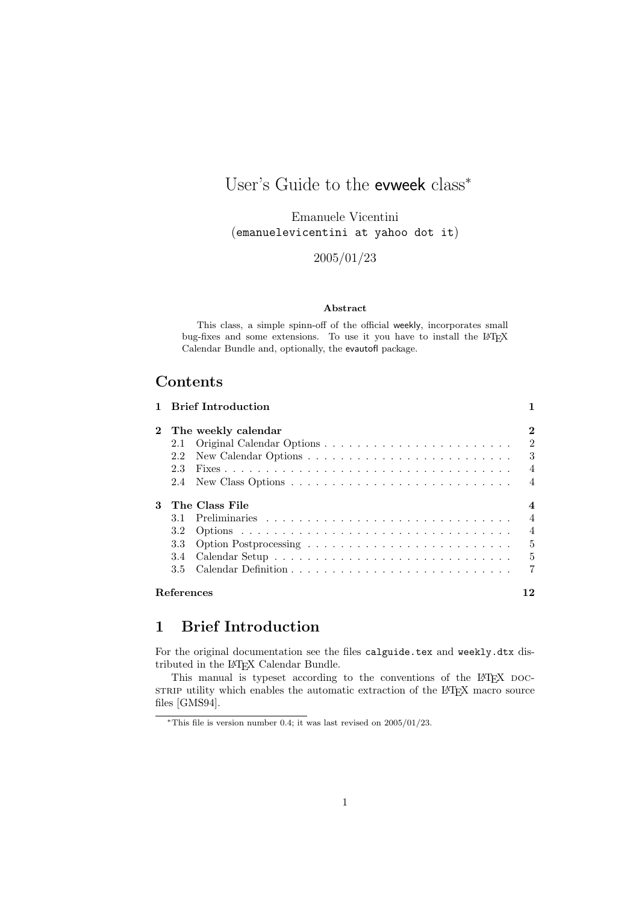## User's Guide to the evweek class<sup>\*</sup>

Emanuele Vicentini (emanuelevicentini at yahoo dot it)

2005/01/23

#### Abstract

This class, a simple spinn-off of the official weekly, incorporates small bug-fixes and some extensions. To use it you have to install the LAT<sub>E</sub>X Calendar Bundle and, optionally, the evautofl package.

## **Contents**

|              |                   | 1 Brief Introduction |                |
|--------------|-------------------|----------------------|----------------|
| $\mathbf{2}$ |                   | The weekly calendar  | $\bf{2}$       |
|              | 2.1               |                      | 2              |
|              | 2.2               |                      | 3              |
|              | 2.3               |                      | $\overline{4}$ |
|              | 2.4               |                      | $\overline{4}$ |
| 3            |                   | The Class File       | 4              |
|              | 3.1               |                      | $\overline{4}$ |
|              | 3.2               |                      | $\overline{4}$ |
|              | 3.3               |                      | $\frac{5}{2}$  |
|              | 3.4               |                      | $\frac{5}{2}$  |
|              | 3.5               |                      | 7              |
|              | <b>References</b> |                      | 12             |

## 1 Brief Introduction

For the original documentation see the files calguide.tex and weekly.dtx distributed in the LATEX Calendar Bundle.

This manual is typeset according to the conventions of the LATEX DOCsTRIP utility which enables the automatic extraction of the LATEX macro source files [GMS94].

<sup>∗</sup>This file is version number 0.4; it was last revised on 2005/01/23.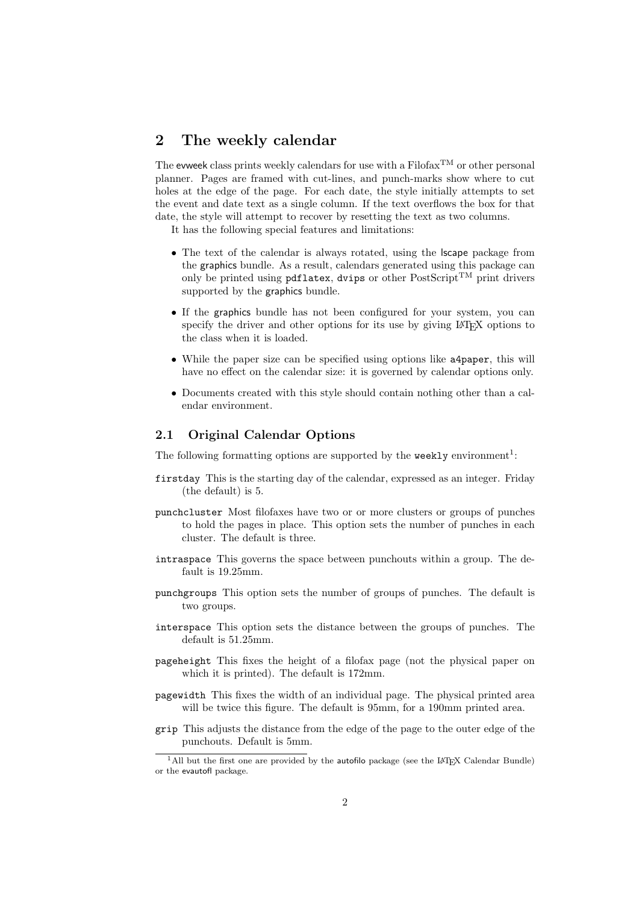## 2 The weekly calendar

The evweek class prints weekly calendars for use with a Filofax<sup>TM</sup> or other personal planner. Pages are framed with cut-lines, and punch-marks show where to cut holes at the edge of the page. For each date, the style initially attempts to set the event and date text as a single column. If the text overflows the box for that date, the style will attempt to recover by resetting the text as two columns.

It has the following special features and limitations:

- The text of the calendar is always rotated, using the **scape** package from the graphics bundle. As a result, calendars generated using this package can only be printed using pdflatex, dvips or other  $PostScript^{TM}$  print drivers supported by the graphics bundle.
- If the graphics bundle has not been configured for your system, you can specify the driver and other options for its use by giving LAT<sub>EX</sub> options to the class when it is loaded.
- While the paper size can be specified using options like a4paper, this will have no effect on the calendar size: it is governed by calendar options only.
- Documents created with this style should contain nothing other than a calendar environment.

#### 2.1 Original Calendar Options

The following formatting options are supported by the weekly environment<sup>1</sup>:

- firstday This is the starting day of the calendar, expressed as an integer. Friday (the default) is 5.
- punchcluster Most filofaxes have two or or more clusters or groups of punches to hold the pages in place. This option sets the number of punches in each cluster. The default is three.
- intraspace This governs the space between punchouts within a group. The default is 19.25mm.
- punchgroups This option sets the number of groups of punches. The default is two groups.
- interspace This option sets the distance between the groups of punches. The default is 51.25mm.
- pageheight This fixes the height of a filofax page (not the physical paper on which it is printed). The default is 172mm.
- pagewidth This fixes the width of an individual page. The physical printed area will be twice this figure. The default is 95mm, for a 190mm printed area.
- grip This adjusts the distance from the edge of the page to the outer edge of the punchouts. Default is 5mm.

 $1$ All but the first one are provided by the autofilo package (see the LAT<sub>EX</sub> Calendar Bundle) or the evautofl package.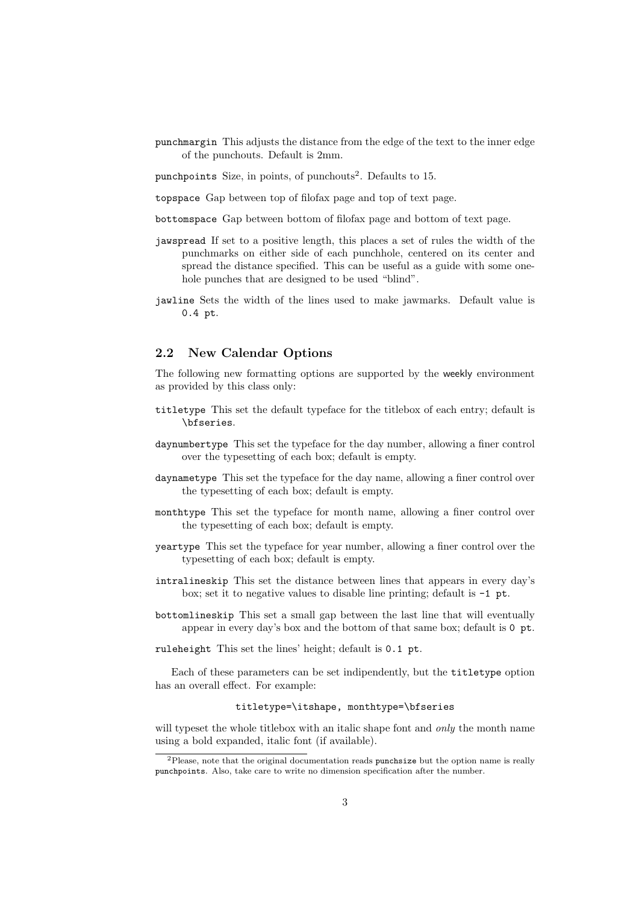punchmargin This adjusts the distance from the edge of the text to the inner edge of the punchouts. Default is 2mm.

punchpoints Size, in points, of punchouts<sup>2</sup>. Defaults to 15.

topspace Gap between top of filofax page and top of text page.

bottomspace Gap between bottom of filofax page and bottom of text page.

- jawspread If set to a positive length, this places a set of rules the width of the punchmarks on either side of each punchhole, centered on its center and spread the distance specified. This can be useful as a guide with some onehole punches that are designed to be used "blind".
- jawline Sets the width of the lines used to make jawmarks. Default value is 0.4 pt.

#### 2.2 New Calendar Options

The following new formatting options are supported by the weekly environment as provided by this class only:

- titletype This set the default typeface for the titlebox of each entry; default is \bfseries.
- daynumbertype This set the typeface for the day number, allowing a finer control over the typesetting of each box; default is empty.
- daynametype This set the typeface for the day name, allowing a finer control over the typesetting of each box; default is empty.
- monthtype This set the typeface for month name, allowing a finer control over the typesetting of each box; default is empty.
- yeartype This set the typeface for year number, allowing a finer control over the typesetting of each box; default is empty.
- intralineskip This set the distance between lines that appears in every day's box; set it to negative values to disable line printing; default is -1 pt.
- bottomlineskip This set a small gap between the last line that will eventually appear in every day's box and the bottom of that same box; default is 0 pt.

ruleheight This set the lines' height; default is 0.1 pt.

Each of these parameters can be set indipendently, but the titletype option has an overall effect. For example:

#### titletype=\itshape, monthtype=\bfseries

will typeset the whole titlebox with an italic shape font and *only* the month name using a bold expanded, italic font (if available).

<sup>2</sup>Please, note that the original documentation reads punchsize but the option name is really punchpoints. Also, take care to write no dimension specification after the number.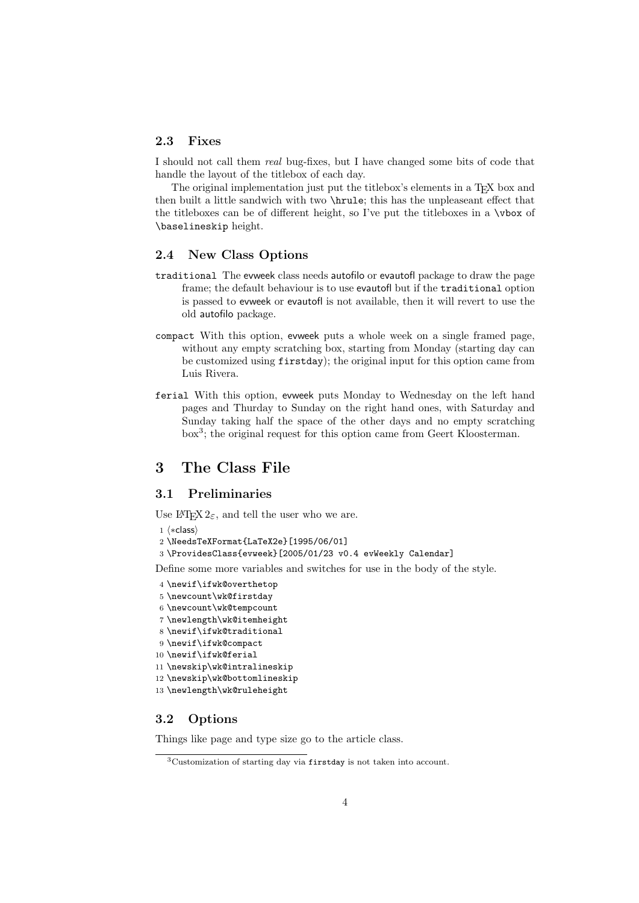#### 2.3 Fixes

I should not call them real bug-fixes, but I have changed some bits of code that handle the layout of the titlebox of each day.

The original implementation just put the titlebox's elements in a T<sub>E</sub>X box and then built a little sandwich with two \hrule; this has the unpleaseant effect that the titleboxes can be of different height, so I've put the titleboxes in a \vbox of \baselineskip height.

#### 2.4 New Class Options

- traditional The evweek class needs autofilo or evautofl package to draw the page frame; the default behaviour is to use evautofl but if the traditional option is passed to evweek or evautofl is not available, then it will revert to use the old autofilo package.
- compact With this option, evweek puts a whole week on a single framed page, without any empty scratching box, starting from Monday (starting day can be customized using firstday); the original input for this option came from Luis Rivera.
- ferial With this option, evweek puts Monday to Wednesday on the left hand pages and Thurday to Sunday on the right hand ones, with Saturday and Sunday taking half the space of the other days and no empty scratching box<sup>3</sup>; the original request for this option came from Geert Kloosterman.

### 3 The Class File

#### 3.1 Preliminaries

Use  $\text{LATEX } 2\varepsilon$ , and tell the user who we are.

```
1 \langle *class \rangle
```

```
2 \NeedsTeXFormat{LaTeX2e}[1995/06/01]
```
3 \ProvidesClass{evweek}[2005/01/23 v0.4 evWeekly Calendar]

Define some more variables and switches for use in the body of the style.

- 4 \newif\ifwk@overthetop
- 5 \newcount\wk@firstday
- 6 \newcount\wk@tempcount
- 7 \newlength\wk@itemheight
- 8 \newif\ifwk@traditional
- 9 \newif\ifwk@compact
- 10 \newif\ifwk@ferial
- 11 \newskip\wk@intralineskip
- 12 \newskip\wk@bottomlineskip
- 13 \newlength\wk@ruleheight

#### 3.2 Options

Things like page and type size go to the article class.

<sup>3</sup>Customization of starting day via firstday is not taken into account.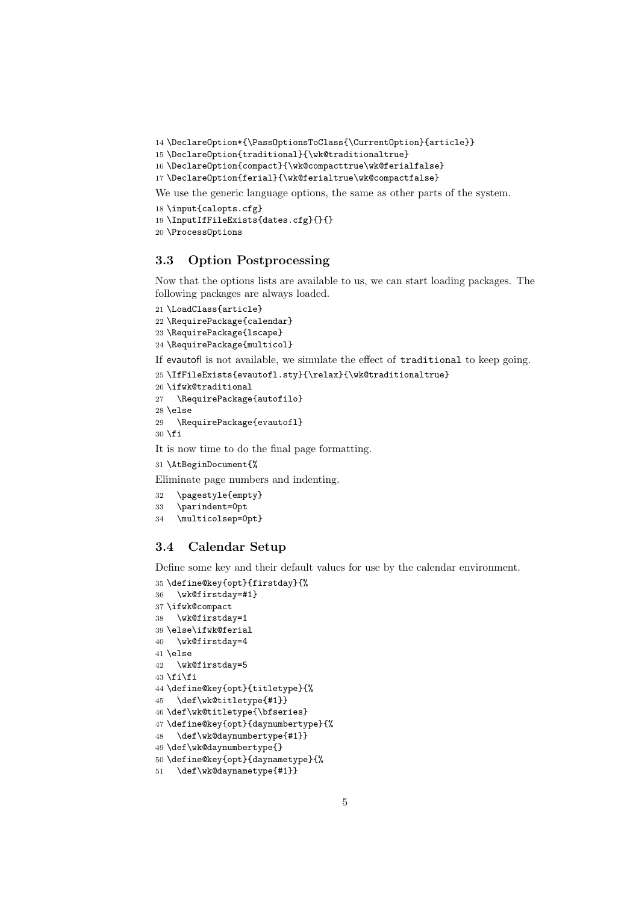\DeclareOption\*{\PassOptionsToClass{\CurrentOption}{article}}

```
15 \DeclareOption{traditional}{\wk@traditionaltrue}
```

```
16 \DeclareOption{compact}{\wk@compacttrue\wk@ferialfalse}
```

```
17 \DeclareOption{ferial}{\wk@ferialtrue\wk@compactfalse}
```
We use the generic language options, the same as other parts of the system.

```
18 \input{calopts.cfg}
```

```
19 \InputIfFileExists{dates.cfg}{}{}
```

```
20 \ProcessOptions
```
#### 3.3 Option Postprocessing

Now that the options lists are available to us, we can start loading packages. The following packages are always loaded.

```
21 \LoadClass{article}
22 \RequirePackage{calendar}
23 \RequirePackage{lscape}
24 \RequirePackage{multicol}
```
If evautofl is not available, we simulate the effect of traditional to keep going.

```
25 \IfFileExists{evautofl.sty}{\relax}{\wk@traditionaltrue}
26 \ifwk@traditional
27 \RequirePackage{autofilo}
28 \else
29 \RequirePackage{evautofl}
30 \text{ t}It is now time to do the final page formatting.
```

```
31 \AtBeginDocument{%
```
Eliminate page numbers and indenting.

```
32 \pagestyle{empty}
```

```
33 \parindent=0pt
```

```
34 \multicolsep=0pt}
```
#### 3.4 Calendar Setup

Define some key and their default values for use by the calendar environment.

```
35 \define@key{opt}{firstday}{%
36 \wk@firstday=#1}
37 \ifwk@compact
38 \wk@firstday=1
39 \else\ifwk@ferial
40 \wk@firstday=4
41 \else
42 \wk@firstday=5
43 \text{tif}44 \define@key{opt}{titletype}{%
45 \def\wk@titletype{#1}}
46 \def\wk@titletype{\bfseries}
47 \define@key{opt}{daynumbertype}{%
48 \def\wk@daynumbertype{#1}}
49 \def\wk@daynumbertype{}
50 \define@key{opt}{daynametype}{%
51 \def\wk@daynametype{#1}}
```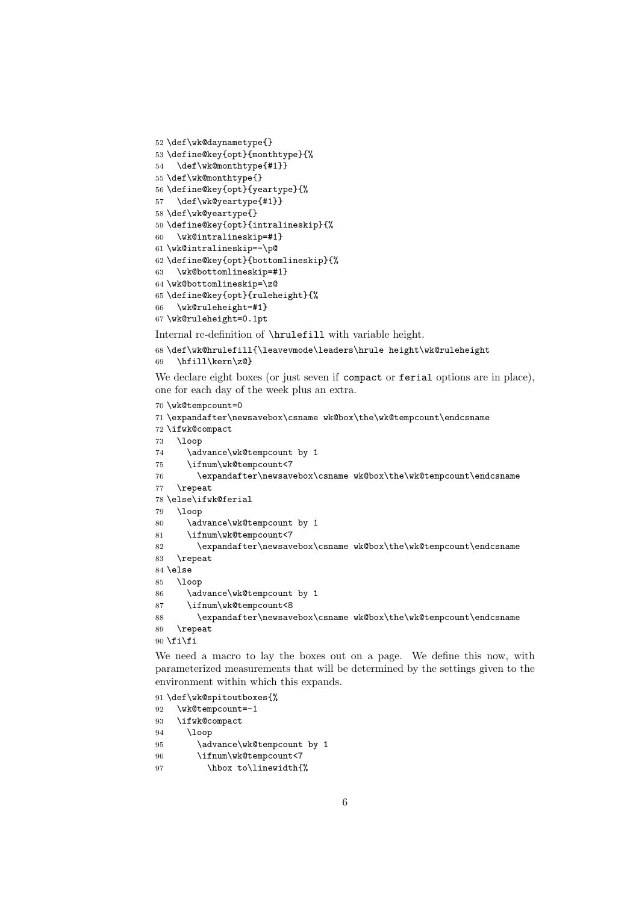```
52 \def\wk@daynametype{}
53 \define@key{opt}{monthtype}{%
54 \def\wk@monthtype{#1}}
55 \def\wk@monthtype{}
56 \define@key{opt}{yeartype}{%
57 \def\wk@yeartype{#1}}
58 \def\wk@yeartype{}
59 \define@key{opt}{intralineskip}{%
60 \wk@intralineskip=#1}
61 \wk@intralineskip=-\p@
62 \define@key{opt}{bottomlineskip}{%
63 \wk@bottomlineskip=#1}
64 \wk@bottomlineskip=\z@
65 \define@key{opt}{ruleheight}{%
66 \wk@ruleheight=#1}
67 \wk@ruleheight=0.1pt
```
Internal re-definition of \hrulefill with variable height.

```
68 \def\wk@hrulefill{\leavevmode\leaders\hrule height\wk@ruleheight
```

```
69 \hfill\kern\z@}
```
We declare eight boxes (or just seven if compact or ferial options are in place), one for each day of the week plus an extra.

```
70 \wk@tempcount=0
```

```
71 \expandafter\newsavebox\csname wk@box\the\wk@tempcount\endcsname
72 \ifwk@compact
73 \loop
74 \advance\wk@tempcount by 1
75 \ifnum\wk@tempcount<7
76 \expandafter\newsavebox\csname wk@box\the\wk@tempcount\endcsname
77 \repeat
78 \else\ifwk@ferial
79 \loop
80 \advance\wk@tempcount by 1
81 \ifnum\wk@tempcount<7
82 \expandafter\newsavebox\csname wk@box\the\wk@tempcount\endcsname
83 \repeat
84 \else
85 \loop
86 \advance\wk@tempcount by 1
87 \ifnum\wk@tempcount<8
88 \expandafter\newsavebox\csname wk@box\the\wk@tempcount\endcsname
89 \repeat
90 \text{fi}
```
We need a macro to lay the boxes out on a page. We define this now, with parameterized measurements that will be determined by the settings given to the environment within which this expands.

```
91 \def\wk@spitoutboxes{%
92 \wk@tempcount=-1
93 \ifwk@compact
94 \loop
95 \advance\wk@tempcount by 1
96 \ifnum\wk@tempcount<7
97 \hbox to\linewidth{%
```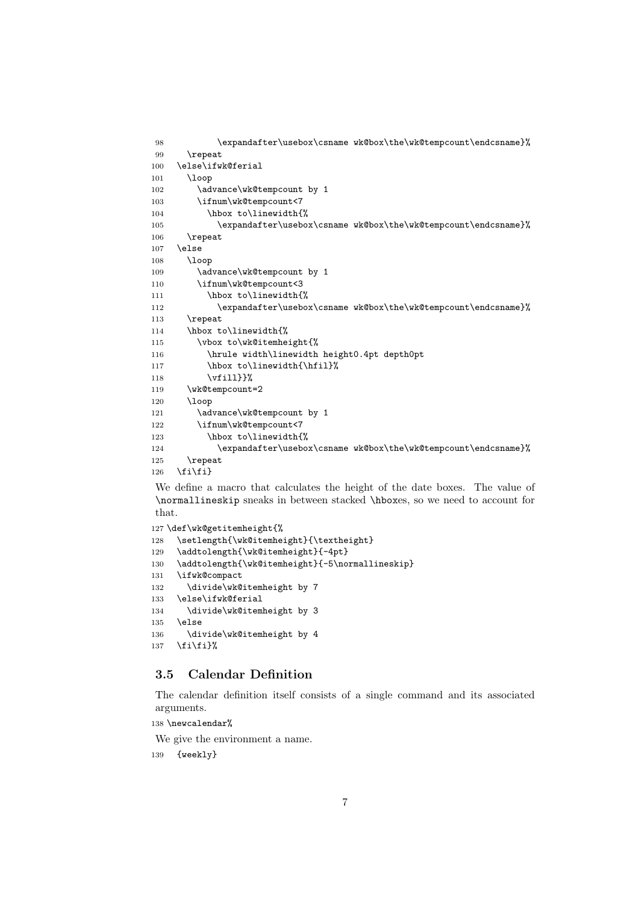```
98 \expandafter\usebox\csname wk@box\the\wk@tempcount\endcsname}%
99 \repeat
100 \else\ifwk@ferial
101 \loop
102 \advance\wk@tempcount by 1
103 \ifnum\wk@tempcount<7
104 \hbox to\linewidth{%
105 \expandafter\usebox\csname wk@box\the\wk@tempcount\endcsname}%
106 \repeat
107 \else
108 \loop
109 \advance\wk@tempcount by 1
110 \ifnum\wk@tempcount<3
111 \hbox to\linewidth{%
112 \expandafter\usebox\csname wk@box\the\wk@tempcount\endcsname}%
113 \repeat
114 \hbox to\linewidth{%
115 \vbox to\wk@itemheight{%
116 \hrule width\linewidth height0.4pt depth0pt
117 \hbox to\linewidth{\hfil}%
118 \vfill}}%
119 \wk@tempcount=2
120 \loop
121 \advance\wk@tempcount by 1
122 \ifnum\wk@tempcount<7
123 \hbox to\linewidth{%
124 \expandafter\usebox\csname wk@box\the\wk@tempcount\endcsname}%
125 \repeat
126 \fi\fi}
```
We define a macro that calculates the height of the date boxes. The value of \normallineskip sneaks in between stacked \hboxes, so we need to account for that.

```
127 \def\wk@getitemheight{%
128 \setlength{\wk@itemheight}{\textheight}
129 \addtolength{\wk@itemheight}{-4pt}
130 \addtolength{\wk@itemheight}{-5\normallineskip}
131 \ifwk@compact
132 \divide\wk@itemheight by 7
133 \else\ifwk@ferial
134 \divide\wk@itemheight by 3
135 \else
136 \divide\wk@itemheight by 4
137 \fi\fi}%
```
#### 3.5 Calendar Definition

The calendar definition itself consists of a single command and its associated arguments.

```
138 \newcalendar%
```
We give the environment a name.

139 {weekly}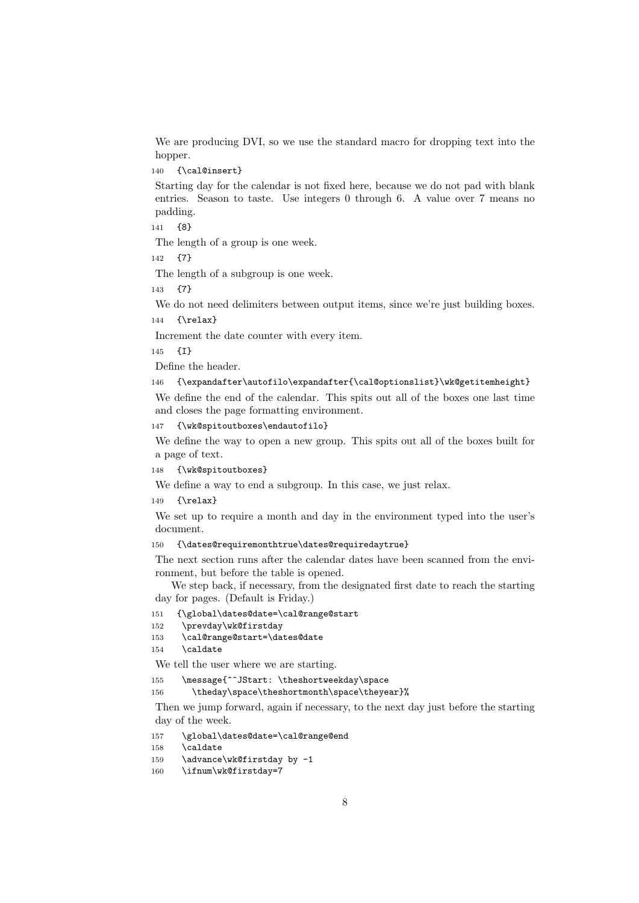We are producing DVI, so we use the standard macro for dropping text into the hopper.

#### 140 {\cal@insert}

Starting day for the calendar is not fixed here, because we do not pad with blank entries. Season to taste. Use integers 0 through 6. A value over 7 means no padding.

141 {8}

The length of a group is one week.

142 {7}

The length of a subgroup is one week.

143 {7}

We do not need delimiters between output items, since we're just building boxes.

```
144 {\relax}
```
Increment the date counter with every item.

```
145 {I}
```
Define the header.

#### 146 {\expandafter\autofilo\expandafter{\cal@optionslist}\wk@getitemheight}

We define the end of the calendar. This spits out all of the boxes one last time and closes the page formatting environment.

```
147 {\wk@spitoutboxes\endautofilo}
```
We define the way to open a new group. This spits out all of the boxes built for a page of text.

```
148 {\wk@spitoutboxes}
```
We define a way to end a subgroup. In this case, we just relax.

149 {\relax}

We set up to require a month and day in the environment typed into the user's document.

#### 150 {\dates@requiremonthtrue\dates@requiredaytrue}

The next section runs after the calendar dates have been scanned from the environment, but before the table is opened.

We step back, if necessary, from the designated first date to reach the starting day for pages. (Default is Friday.)

```
151 {\global\dates@date=\cal@range@start
```

```
152 \prevday\wk@firstday
```

```
153 \cal@range@start=\dates@date
```
154 \caldate

We tell the user where we are starting.

155 \message{^^JStart: \theshortweekday\space

```
156 \theday\space\theshortmonth\space\theyear}%
```
Then we jump forward, again if necessary, to the next day just before the starting day of the week.

```
157 \global\dates@date=\cal@range@end
```

```
158 \caldate
```

```
159 \advance\wk@firstday by -1
```

```
160 \ifnum\wk@firstday=7
```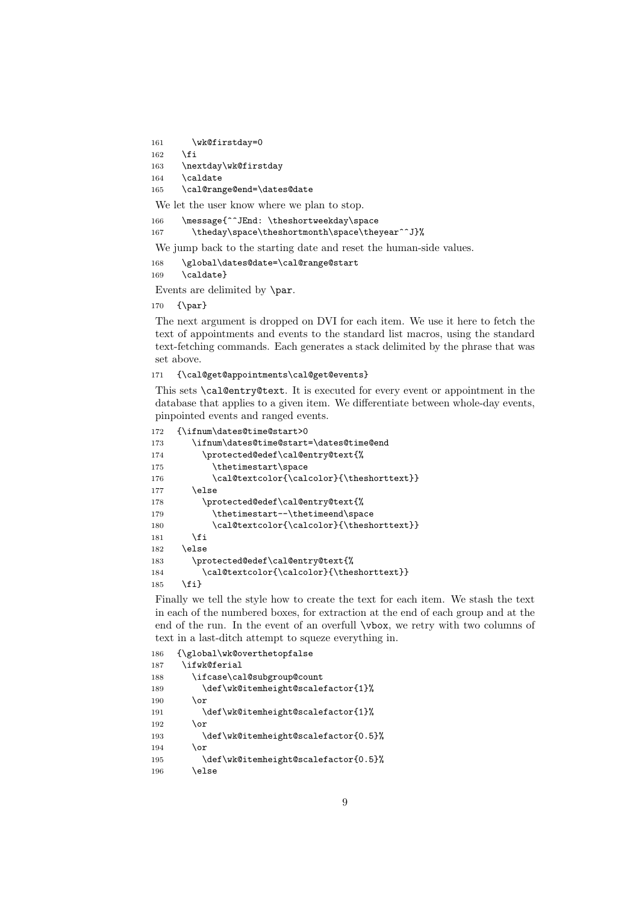161 \wk@firstday=0

```
162 \fi
```

```
163 \nextday\wk@firstday
```
164 \caldate

165 \cal@range@end=\dates@date

We let the user know where we plan to stop.

166 \message{^^JEnd: \theshortweekday\space

167 \theday\space\theshortmonth\space\theyear^^J}%

We jump back to the starting date and reset the human-side values.

168 \global\dates@date=\cal@range@start

169 \caldate}

Events are delimited by \par.

170 {\par}

The next argument is dropped on DVI for each item. We use it here to fetch the text of appointments and events to the standard list macros, using the standard text-fetching commands. Each generates a stack delimited by the phrase that was set above.

171 {\cal@get@appointments\cal@get@events}

This sets \cal@entry@text. It is executed for every event or appointment in the database that applies to a given item. We differentiate between whole-day events, pinpointed events and ranged events.

```
172 {\ifnum\dates@time@start>0
173 \ifnum\dates@time@start=\dates@time@end
174 \protected@edef\cal@entry@text{%
175 \thetimestart\space
176 \cal@textcolor{\calcolor}{\theshorttext}}
177 \else
178 \protected@edef\cal@entry@text{%
179 \thetimestart--\thetimeend\space
180 \cal@textcolor{\calcolor}{\theshorttext}}
181 \qquad \qquad182 \text{ kg}183 \protected@edef\cal@entry@text{%
184 \cal@textcolor{\calcolor}{\theshorttext}}
185 \fi}
```
Finally we tell the style how to create the text for each item. We stash the text in each of the numbered boxes, for extraction at the end of each group and at the end of the run. In the event of an overfull \vbox, we retry with two columns of text in a last-ditch attempt to squeze everything in.

```
186 {\global\wk@overthetopfalse
187 \ifwk@ferial
188 \ifcase\cal@subgroup@count
189 \def\wk@itemheight@scalefactor{1}%
190 \or
191 \def\wk@itemheight@scalefactor{1}%
192 \overline{\arctan}193 \def\wk@itemheight@scalefactor{0.5}%
194 \overline{\phantom{a}} \or
195 \def\wk@itemheight@scalefactor{0.5}%
196 \else
```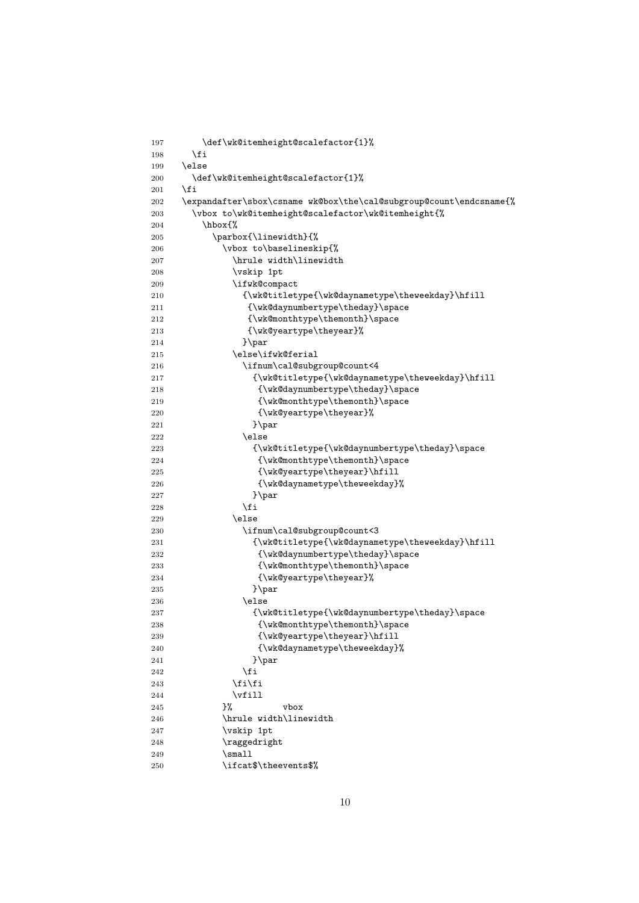```
197 \def\wk@itemheight@scalefactor{1}%
198 \overrightarrow{fi}199 \else
200 \def\wk@itemheight@scalefactor{1}%
201 \overrightarrow{fi}202 \expandafter\sbox\csname wk@box\the\cal@subgroup@count\endcsname{%
203 \vbox to\wk@itemheight@scalefactor\wk@itemheight{%
204 \hbox{%
205 \parbox{\linewidth}{%
206 \vbox to\baselineskip{%
207 \hrule width\linewidth
208 \vskip 1pt
209 \ifwk@compact
210 {\wk@titletype{\wk@daynametype\theweekday}\hfill
211 {\wk@daynumbertype\theday}\space
212 {\wk@monthtype\themonth}\space
213 {\wk@yeartype\theyear}}214 }\par
215 \else\ifwk@ferial
216 \ifnum\cal@subgroup@count<4
217 {\wk@titletype{\wk@daynametype\theweekday}\hfill
218 {\wk@daynumbertype\theday}\space
219 {\wk@monthtype\themonth}\space
220 {\wk@yeartype\theyear}%
221 } \par
222 \qquad \text{lelex}223 {\wk@titletype{\wk@daynumbertype\theday}\space
224 {\wk@monthtype\themonth}\space
225 {\wk@yeartype\theyear}\hfill
226 {\wk@daynametype\theweekday}227 } \par
228 \setminus fi
229 \qquad \text{lelse}230 \ifnum\cal@subgroup@count<3
231 {\wk@titletype{\wk@daynametype\theweekday}\hfill
232 {\wk@daynumbertype\theday}\space
233 {\wk@monthtype\themonth}\space
234 \{ \wk@yeartype \the year \}235 } \par
236 \text{le}237 {\wk@titletype{\wk@daynumbertype\theday}\space
238 {\wk@monthtype\themonth}\space
239 {\wk@yeartype\theyear}\hfill
240 {\wk@daynametype\theweekday}%
241 }\par
242 \overline{1}243 \overrightarrow{f}244 \forall fill
245 }% vbox
246 \hrule width\linewidth
247 \vskip 1pt
248 \raggedright
249 \small
250 \ifcat$\theevents$%
```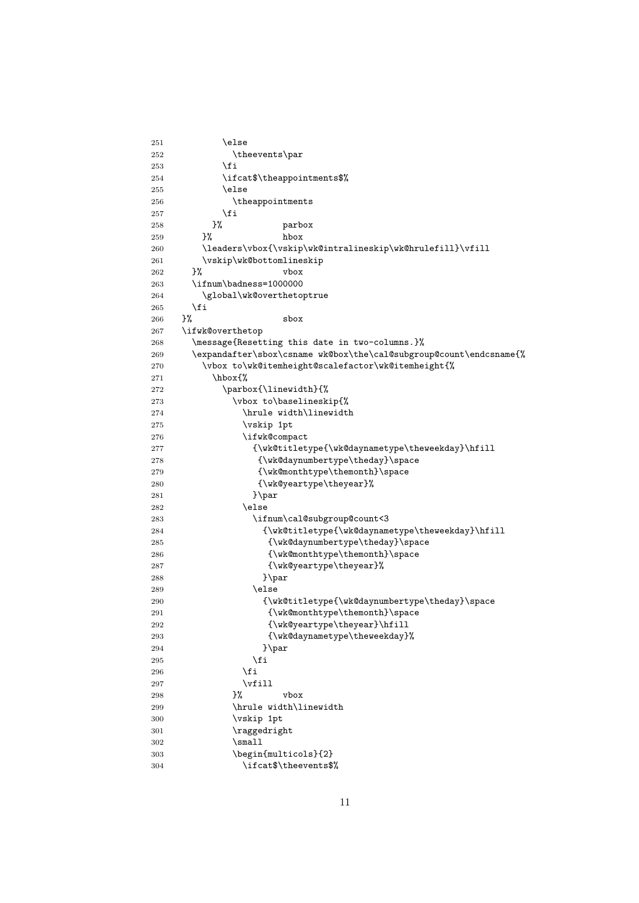```
251 \qquad \qquad \qquad \qquad \qquad \qquad \qquad \qquad \qquad \qquad \qquad \qquad \qquad \qquad \qquad \qquad \qquad \qquad \qquad \qquad \qquad \qquad \qquad \qquad \qquad \qquad \qquad \qquad \qquad \qquad \qquad \qquad \qquad \qquad \qquad \qquad252 \theevents\par
253 \overline{\text{1}}254 \ifcat$\theappointments$%
255 \else
256 \theappointments
257 \setminusfi<br>258 }%
258 }% parbox
259 }% hbox
260 \leaders\vbox{\vskip\wk@intralineskip\wk@hrulefill}\vfill
261 \vskip\wk@bottomlineskip
262 }% vbox
263 \ifnum\badness=1000000
264 \global\wk@overthetoptrue
265 \fi
266 }% sbox
267 \ifwk@overthetop
268 \message{Resetting this date in two-columns.}%
269 \expandafter\sbox\csname wk@box\the\cal@subgroup@count\endcsname{%
270 \varepsilon \vbox to\wk@itemheight@scalefactor\wk@itemheight{%
271 \hbox{%
272 \parbox{\linewidth}{%
273 \vbox to\baselineskip{%
274 \hrule width\linewidth
275 \vskip 1pt
276 \ifwk@compact
277 {\wk@titletype{\wk@daynametype\theweekday}\hfill
278 {\wk@daynumbertype\theday}\space
279 {\wk@monthtype\themonth}\space
280 {\wk@yeartype\theyear}%
281 } \par
282 \qquad \qquad \text{lelex}283 \ifnum\cal@subgroup@count<3
284 {\wk@titletype{\wk@daynametype\theweekday}\hfill
285 {\wk@daynumbertype\theday}\space
286 {\wk@monthtype\themonth}\space
287 {\wk@yeartype\theyear}%
288 }\par
289 \else
290 {\wk@titletype{\wk@daynumbertype\theday}\space
291 {\wk@monthtype\themonth}\space
292 {\wkey{eqrtype\theyear}\hfill293 {\wk@daynametype\theweekday}%
294 } \parbox{1.0cm}{\textbf{par}}295 \hspace{3cm} \angle fi
296 \quad \text{if}297 \forallfill
298 }% vbox
299 \hrule width\linewidth
300 \vskip 1pt
301 \raggedright
302 \small
303 \begin{multicols}{2}
304 \ifcat$\theevents$%
```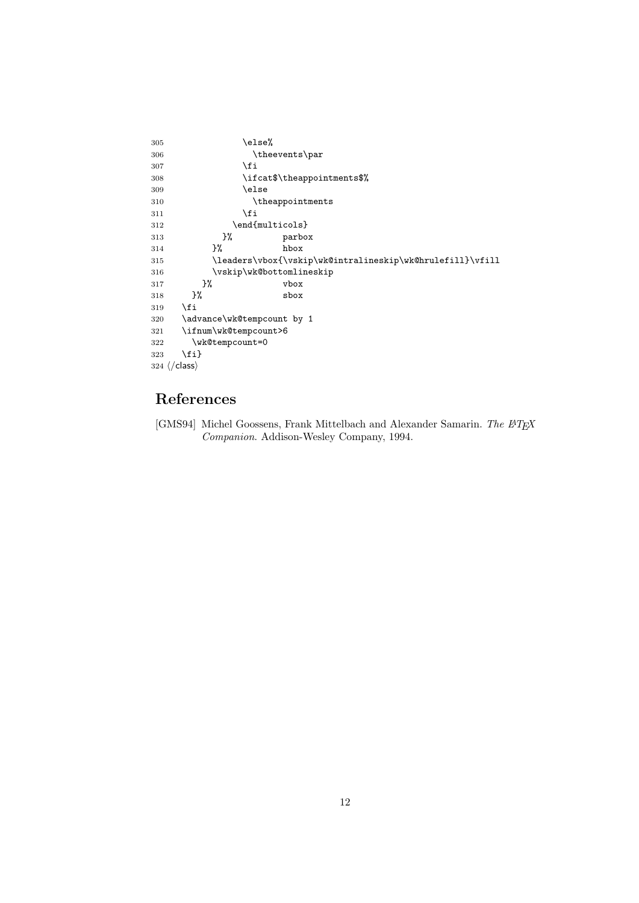```
305 \else%
306 \theevents\par
307 \fi
308 \ifcat$\theappointments$%
309 \else
310 \theappointments
311 \fi
312 \end{multicols}
313 }% parbox
314 }% hbox
315 \leaders\vbox{\vskip\wk@intralineskip\wk@hrulefill}\vfill
316 \vskip\wk@bottomlineskip
317 }% vbox
318 }% sbox
319 \overrightarrow{fi}320 \advance\wk@tempcount by 1
321 \ifnum\wk@tempcount>6
322 \wk@tempcount=0
323 \{f_i\}324 \; \langle / \mathsf{class} \rangle
```
## References

[GMS94] Michel Goossens, Frank Mittelbach and Alexander Samarin. The  $\cancel{B}T\cancel{E}X$ Companion. Addison-Wesley Company, 1994.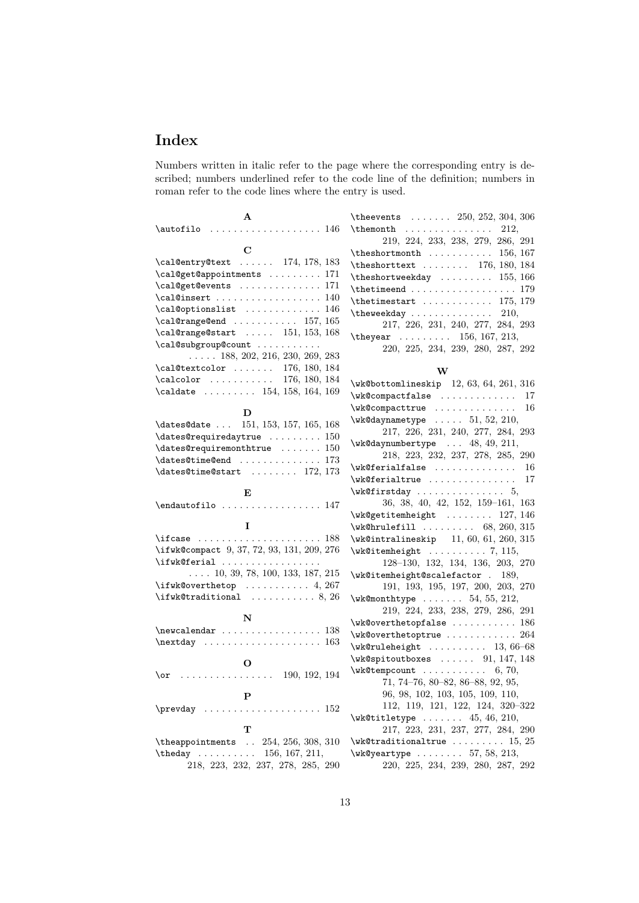## Index

Numbers written in italic refer to the page where the corresponding entry is described; numbers underlined refer to the code line of the definition; numbers in roman refer to the code lines where the entry is used.

| A                                                            | \the events $\ldots \ldots$ 250, 252, 304, 306                             |
|--------------------------------------------------------------|----------------------------------------------------------------------------|
|                                                              | 212,                                                                       |
|                                                              | 219, 224, 233, 238, 279, 286, 291                                          |
| C                                                            |                                                                            |
| $\cal$ al@entry@text  174, 178, 183                          | \theshorttext  176, 180, 184                                               |
| \cal@get@appointments  171                                   | $\theta$ \theshortweekday  155, 166                                        |
| \cal@get@events  171                                         |                                                                            |
| $\cal$ al@insert  140                                        | $\theta$ . The timestart  175, 179                                         |
| $\cal$ al@optionslist  146                                   | $\theta$ . The weekday 210,                                                |
| $\cal$ al@range@end  157, 165                                | 217, 226, 231, 240, 277, 284, 293                                          |
| $\cal$ al@range@start  151, 153, 168                         | \theyear  156, 167, 213,                                                   |
| $\verb+\cal@subgroup@count+\ldots+$                          | 220, 225, 234, 239, 280, 287, 292                                          |
| $\ldots$ 188, 202, 216, 230, 269, 283                        |                                                                            |
| $\cal$ al@textcolor  176, 180, 184                           | W                                                                          |
| $\cal Q$ 176, 180, 184                                       | $\wedge$ wk@bottomlineskip 12, 63, 64, 261, 316                            |
| $\cal$ aldate  154, 158, 164, 169                            | \wk@compactfalse<br>17                                                     |
|                                                              | \wk@compacttrue<br>-16                                                     |
| D                                                            | $\wedge$ wk@daynametype  51, 52, 210,                                      |
| 151, 153, 157, 165, 168<br>\dates@date                       | $217,\ 226,\ 231,\ 240,\ 277,\ 284,\ 293$                                  |
|                                                              | $\wedge$ wk@daynumbertype $\ldots$ 48, 49, 211,                            |
| $\lambda$ 150                                                | 218, 223, 232, 237, 278, 285, 290                                          |
| $\lambda$ : $\lambda$ 173                                    | \wk@ferialfalse<br>16                                                      |
| $\{\text{dates@time@start} \dots \dots \ 172, 173\}$         | \wk@ferialtrue<br>17                                                       |
| Е                                                            | $\wedge$ wk@firstday  5,                                                   |
| \endautofilo  147                                            | 36, 38, 40, 42, 152, 159-161, 163                                          |
|                                                              | $\wedge$ wk@getitemheight  127, 146                                        |
| 1                                                            |                                                                            |
| $\frac{188}{15}$                                             | $\wedge$ wk@intralineskip 11, 60, 61, 260, 315                             |
| \ifwk@compact 9, 37, 72, 93, 131, 209, 276                   | $\wedge$ wk@itemheight  7, 115,                                            |
|                                                              |                                                                            |
| \ifwk@ferial                                                 |                                                                            |
| $\ldots$ 10, 39, 78, 100, 133, 187, 215                      | 128-130, 132, 134, 136, 203, 270                                           |
| $\iint w k$ Coverthetop  4, 267                              | \wk@itemheight@scalefactor . 189,                                          |
|                                                              | 191, 193, 195, 197, 200, 203, 270                                          |
| $\verb \ifwk@traditional    8, 26 $                          | $\wedge$ wk@monthtype  54, 55, 212,                                        |
| N                                                            | 219, 224, 233, 238, 279, 286, 291                                          |
| $\neq$ $138$                                                 | $\texttt{\textbackslash wk@overthetopfalse} \dots \dots \dots \dots \ 186$ |
| $\n\text{day} \ldots \ldots \ldots \ldots 163$               | \wk@overthetoptrue  264                                                    |
|                                                              | $\wedge$ wk@ruleheight  13, 66-68                                          |
| О                                                            | $\wk$ @spitoutboxes  91, 147, 148                                          |
| $\cdots$ 190, 192, 194<br>\or                                | $\text{Wk@tempcount}$ 6, 70,                                               |
|                                                              | 71, 74-76, 80-82, 86-88, 92, 95,                                           |
| $\mathbf P$                                                  | 96, 98, 102, 103, 105, 109, 110,                                           |
| $\preceq$                                                    | 112, 119, 121, 122, 124, 320-322                                           |
| т                                                            | $\text{Wk@titletype} \dots \dots \ 45, 46, 210,$                           |
|                                                              | 217, 223, 231, 237, 277, 284, 290                                          |
| \the appointments $254, 256, 308, 310$                       | $\wedge$ wk@traditionaltrue  15, 25                                        |
| \theday  156, 167, 211,<br>218, 223, 232, 237, 278, 285, 290 | $\wedge$ wk@ yeartype  57, 58, 213,<br>220, 225, 234, 239, 280, 287, 292   |